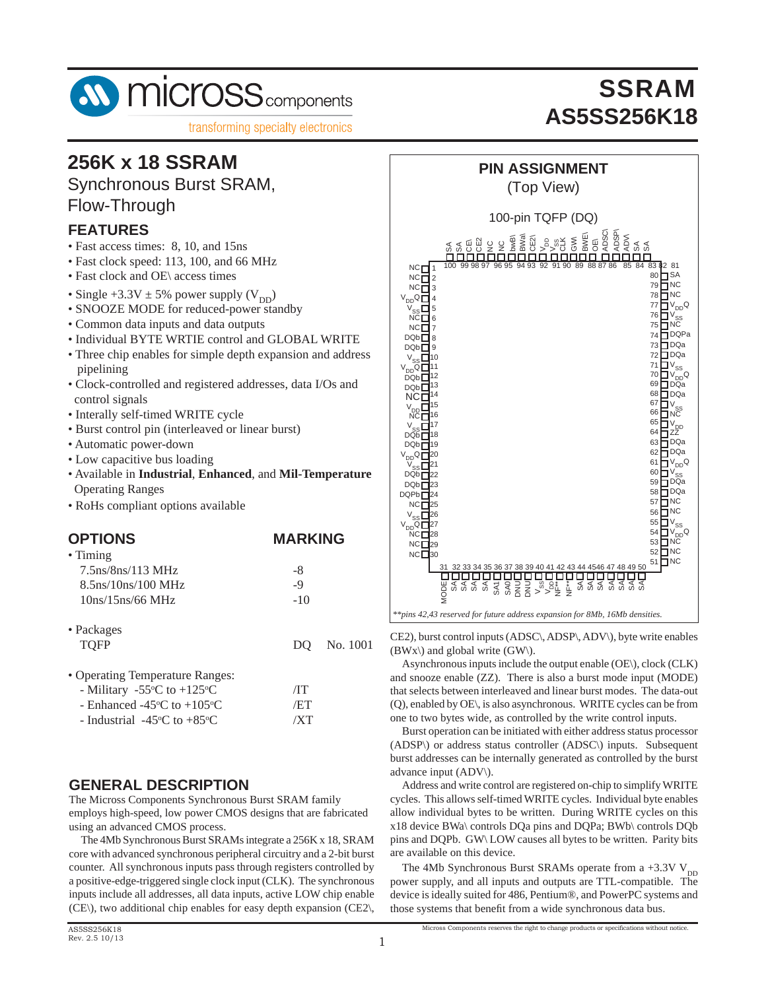

### **256K x 18 SSRAM**

Synchronous Burst SRAM, Flow-Through

#### **FEATURES**

- Fast access times: 8, 10, and 15ns
- Fast clock speed: 113, 100, and 66 MHz
- Fast clock and OE\ access times
- Single  $+3.3V \pm 5%$  power supply (V<sub>DD</sub>)
- SNOOZE MODE for reduced-power standby
- Common data inputs and data outputs
- Individual BYTE WRTIE control and GLOBAL WRITE
- Three chip enables for simple depth expansion and address pipelining
- Clock-controlled and registered addresses, data I/Os and control signals
- Interally self-timed WRITE cycle
- Burst control pin (interleaved or linear burst)
- Automatic power-down
- Low capacitive bus loading
- Available in **Industrial**, **Enhanced**, and **Mil-Temperature** Operating Ranges
- RoHs compliant options available

### **OPTIONS MARKING**

| • Timing                 |       |
|--------------------------|-------|
| $7.5$ ns/ $8$ ns/113 MHz | -8    |
| $8.5$ ns/10ns/100 MHz    | -9    |
| 10ns/15ns/66 MHz         | $-10$ |
|                          |       |

| $\bullet$ Packages<br><b>TOFP</b>                                                 |            | DO No. 1001 |
|-----------------------------------------------------------------------------------|------------|-------------|
| • Operating Temperature Ranges:<br>- Military -55 $\degree$ C to +125 $\degree$ C | $\sqrt{1}$ |             |

- Enhanced -45 $\degree$ C to +105 $\degree$  $/ET$ - Industrial  $-45^{\circ}$ C to  $+85^{\circ}$  $/XT$ 

#### **GENERAL DESCRIPTION**

The Micross Components Synchronous Burst SRAM family employs high-speed, low power CMOS designs that are fabricated using an advanced CMOS process.

 The 4Mb Synchronous Burst SRAMs integrate a 256K x 18, SRAM core with advanced synchronous peripheral circuitry and a 2-bit burst counter. All synchronous inputs pass through registers controlled by a positive-edge-triggered single clock input (CLK). The synchronous inputs include all addresses, all data inputs, active LOW chip enable (CE\), two additional chip enables for easy depth expansion (CE2\,

# **SSRAM AS5SS256K18**

### **PIN ASSIGNMENT**

(Top View)



CE2), burst control inputs (ADSC\, ADSP\, ADV\), byte write enables  $(BWx)$  and global write  $(GW)$ .

 Asynchronous inputs include the output enable (OE\), clock (CLK) and snooze enable (ZZ). There is also a burst mode input (MODE) that selects between interleaved and linear burst modes. The data-out (Q), enabled by OE\, is also asynchronous. WRITE cycles can be from one to two bytes wide, as controlled by the write control inputs.

 Burst operation can be initiated with either address status processor (ADSP\) or address status controller (ADSC\) inputs. Subsequent burst addresses can be internally generated as controlled by the burst advance input (ADV\).

 Address and write control are registered on-chip to simplify WRITE cycles. This allows self-timed WRITE cycles. Individual byte enables allow individual bytes to be written. During WRITE cycles on this x18 device BWa\ controls DQa pins and DQPa; BWb\ controls DQb pins and DQPb. GW\ LOW causes all bytes to be written. Parity bits are available on this device.

The 4Mb Synchronous Burst SRAMs operate from a +3.3V  $V_{DD}$ power supply, and all inputs and outputs are TTL-compatible. The device is ideally suited for 486, Pentium®, and PowerPC systems and those systems that benefit from a wide synchronous data bus.

Micross Components reserves the right to change products or specifications without notice.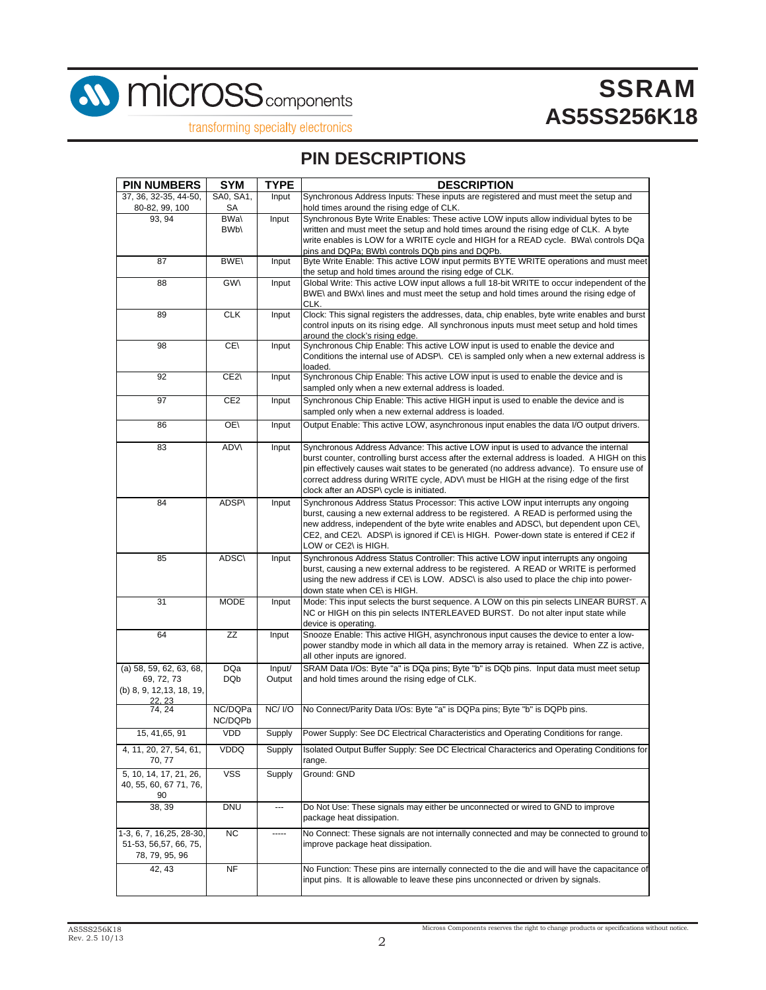

**M** MICross<sub>components</sub>

# **SSRAM AS5SS256K18**

transforming specialty electronics

### **PIN DESCRIPTIONS**

| <b>PIN NUMBERS</b>                                                           | <b>SYM</b>               | <b>TYPE</b>              | <b>DESCRIPTION</b>                                                                                                                                                                                                                                                                                                                                                                                                   |
|------------------------------------------------------------------------------|--------------------------|--------------------------|----------------------------------------------------------------------------------------------------------------------------------------------------------------------------------------------------------------------------------------------------------------------------------------------------------------------------------------------------------------------------------------------------------------------|
| 37, 36, 32-35, 44-50,<br>80-82, 99, 100                                      | SA0, SA1,<br>SA          | Input                    | Synchronous Address Inputs: These inputs are registered and must meet the setup and<br>hold times around the rising edge of CLK.                                                                                                                                                                                                                                                                                     |
| 93, 94                                                                       | BWa\<br>BW <sub>b</sub>  | Input                    | Synchronous Byte Write Enables: These active LOW inputs allow individual bytes to be<br>written and must meet the setup and hold times around the rising edge of CLK. A byte<br>write enables is LOW for a WRITE cycle and HIGH for a READ cycle. BWa\ controls DQa<br>pins and DQPa; BWb\ controls DQb pins and DQPb.                                                                                               |
| 87                                                                           | <b>BWE\</b>              | Input                    | Byte Write Enable: This active LOW input permits BYTE WRITE operations and must meet<br>the setup and hold times around the rising edge of CLK.                                                                                                                                                                                                                                                                      |
| 88                                                                           | <b>GW\</b>               | Input                    | Global Write: This active LOW input allows a full 18-bit WRITE to occur independent of the<br>BWE\ and BWx\ lines and must meet the setup and hold times around the rising edge of<br>CLK.                                                                                                                                                                                                                           |
| 89                                                                           | <b>CLK</b>               | Input                    | Clock: This signal registers the addresses, data, chip enables, byte write enables and burst<br>control inputs on its rising edge. All synchronous inputs must meet setup and hold times<br>around the clock's rising edge.                                                                                                                                                                                          |
| 98                                                                           | CE\                      | Input                    | Synchronous Chip Enable: This active LOW input is used to enable the device and<br>Conditions the internal use of ADSP\. CE\ is sampled only when a new external address is<br>loaded.                                                                                                                                                                                                                               |
| 92                                                                           | CE2\                     | Input                    | Synchronous Chip Enable: This active LOW input is used to enable the device and is<br>sampled only when a new external address is loaded.                                                                                                                                                                                                                                                                            |
| 97                                                                           | CE <sub>2</sub>          | Input                    | Synchronous Chip Enable: This active HIGH input is used to enable the device and is<br>sampled only when a new external address is loaded.                                                                                                                                                                                                                                                                           |
| 86                                                                           | OE\                      | Input                    | Output Enable: This active LOW, asynchronous input enables the data I/O output drivers.                                                                                                                                                                                                                                                                                                                              |
| 83                                                                           | <b>ADV\</b>              | Input                    | Synchronous Address Advance: This active LOW input is used to advance the internal<br>burst counter, controlling burst access after the external address is loaded. A HIGH on this<br>pin effectively causes wait states to be generated (no address advance). To ensure use of<br>correct address during WRITE cycle, ADV\ must be HIGH at the rising edge of the first<br>clock after an ADSP\ cycle is initiated. |
| 84                                                                           | ADSP\                    | Input                    | Synchronous Address Status Processor: This active LOW input interrupts any ongoing<br>burst, causing a new external address to be registered. A READ is performed using the<br>new address, independent of the byte write enables and ADSC\, but dependent upon CE\,<br>CE2, and CE2\. ADSP\ is ignored if CE\ is HIGH. Power-down state is entered if CE2 if<br>LOW or CE2\ is HIGH.                                |
| 85                                                                           | <b>ADSC\</b>             | Input                    | Synchronous Address Status Controller: This active LOW input interrupts any ongoing<br>burst, causing a new external address to be registered. A READ or WRITE is performed<br>using the new address if CE\ is LOW. ADSC\ is also used to place the chip into power-<br>down state when CE\ is HIGH.                                                                                                                 |
| 31                                                                           | <b>MODE</b>              | Input                    | Mode: This input selects the burst sequence. A LOW on this pin selects LINEAR BURST. A<br>NC or HIGH on this pin selects INTERLEAVED BURST. Do not alter input state while<br>device is operating.                                                                                                                                                                                                                   |
| 64                                                                           | ΖZ                       | Input                    | Snooze Enable: This active HIGH, asynchronous input causes the device to enter a low-<br>power standby mode in which all data in the memory array is retained. When ZZ is active,<br>all other inputs are ignored.                                                                                                                                                                                                   |
| (a) 58, 59, 62, 63, 68,<br>69, 72, 73<br>(b) 8, 9, 12, 13, 18, 19,<br>22, 23 | <b>DQa</b><br><b>DQb</b> | Input/<br>Output         | SRAM Data I/Os: Byte "a" is DQa pins; Byte "b" is DQb pins. Input data must meet setup<br>and hold times around the rising edge of CLK.                                                                                                                                                                                                                                                                              |
| 74, 24                                                                       | NC/DQPa<br>NC/DQPb       | <b>NC/I/O</b>            | No Connect/Parity Data I/Os: Byte "a" is DQPa pins; Byte "b" is DQPb pins.                                                                                                                                                                                                                                                                                                                                           |
| 15, 41, 65, 91                                                               | <b>VDD</b>               | Supply                   | Power Supply: See DC Electrical Characteristics and Operating Conditions for range.                                                                                                                                                                                                                                                                                                                                  |
| 4, 11, 20, 27, 54, 61,<br>70, 77                                             | VDDQ                     | Supply                   | Isolated Output Buffer Supply: See DC Electrical Characterics and Operating Conditions for<br>range.                                                                                                                                                                                                                                                                                                                 |
| 5, 10, 14, 17, 21, 26,<br>40, 55, 60, 67 71, 76,<br>90                       | <b>VSS</b>               | Supply                   | Ground: GND                                                                                                                                                                                                                                                                                                                                                                                                          |
| 38, 39                                                                       | <b>DNU</b>               | $\overline{\phantom{a}}$ | Do Not Use: These signals may either be unconnected or wired to GND to improve<br>package heat dissipation.                                                                                                                                                                                                                                                                                                          |
| 1-3, 6, 7, 16, 25, 28-30,<br>51-53, 56,57, 66, 75,<br>78, 79, 95, 96         | ΝC                       | -----                    | No Connect: These signals are not internally connected and may be connected to ground to<br>improve package heat dissipation.                                                                                                                                                                                                                                                                                        |
| 42, 43                                                                       | <b>NF</b>                |                          | No Function: These pins are internally connected to the die and will have the capacitance of<br>input pins. It is allowable to leave these pins unconnected or driven by signals.                                                                                                                                                                                                                                    |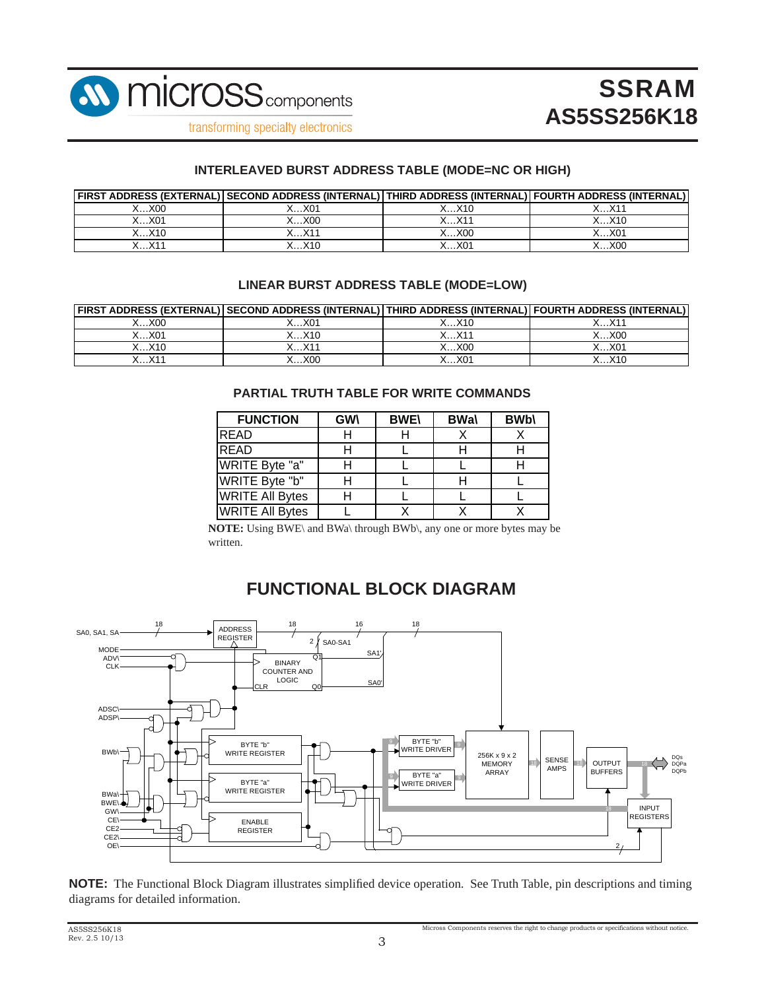

#### **INTERLEAVED BURST ADDRESS TABLE (MODE=NC OR HIGH)**

|       | FIRST ADDRESS (EXTERNAL) SECOND ADDRESS (INTERNAL) THIRD ADDRESS (INTERNAL) FOURTH ADDRESS (INTERNAL) |       |                     |
|-------|-------------------------------------------------------------------------------------------------------|-------|---------------------|
| X00   | X…X01                                                                                                 | K…X10 |                     |
| X01   |                                                                                                       | V11   | $. \times 10^{-7}$  |
| K…X10 | $\vee$                                                                                                | X00   | . . X0 <sup>4</sup> |
|       |                                                                                                       | .01   | XOC                 |

#### **LINEAR BURST ADDRESS TABLE (MODE=LOW)**

|            | FIRST ADDRESS (EXTERNAL) SECOND ADDRESS (INTERNAL) THIRD ADDRESS (INTERNAL) FOURTH ADDRESS (INTERNAL) |                                   |       |
|------------|-------------------------------------------------------------------------------------------------------|-----------------------------------|-------|
| X00        | X…X01                                                                                                 | ∕…X10                             |       |
| X…X01      | X…X10                                                                                                 | $\vee$                            | XX00  |
| 6…X10      | $\vee$                                                                                                | $\langle \dots \times 00 \rangle$ | X…X01 |
| $\vee$ 4.4 | X <sub>00</sub>                                                                                       | $\dots$ X01                       | X10   |

#### **PARTIAL TRUTH TABLE FOR WRITE COMMANDS**

| <b>FUNCTION</b>        | <b>GW\</b> | <b>BWE\</b> | <b>BWa\</b> | <b>BWb\</b> |
|------------------------|------------|-------------|-------------|-------------|
| <b>IREAD</b>           |            |             |             |             |
| <b>READ</b>            |            |             |             |             |
| WRITE Byte "a"         |            |             |             |             |
| WRITE Byte "b"         |            |             |             |             |
| <b>WRITE All Bytes</b> |            |             |             |             |
| <b>WRITE All Bytes</b> |            |             |             |             |

**NOTE:** Using BWE\ and BWa\ through BWb\, any one or more bytes may be written.

### **FUNCTIONAL BLOCK DIAGRAM**



**NOTE:** The Functional Block Diagram illustrates simplified device operation. See Truth Table, pin descriptions and timing diagrams for detailed information.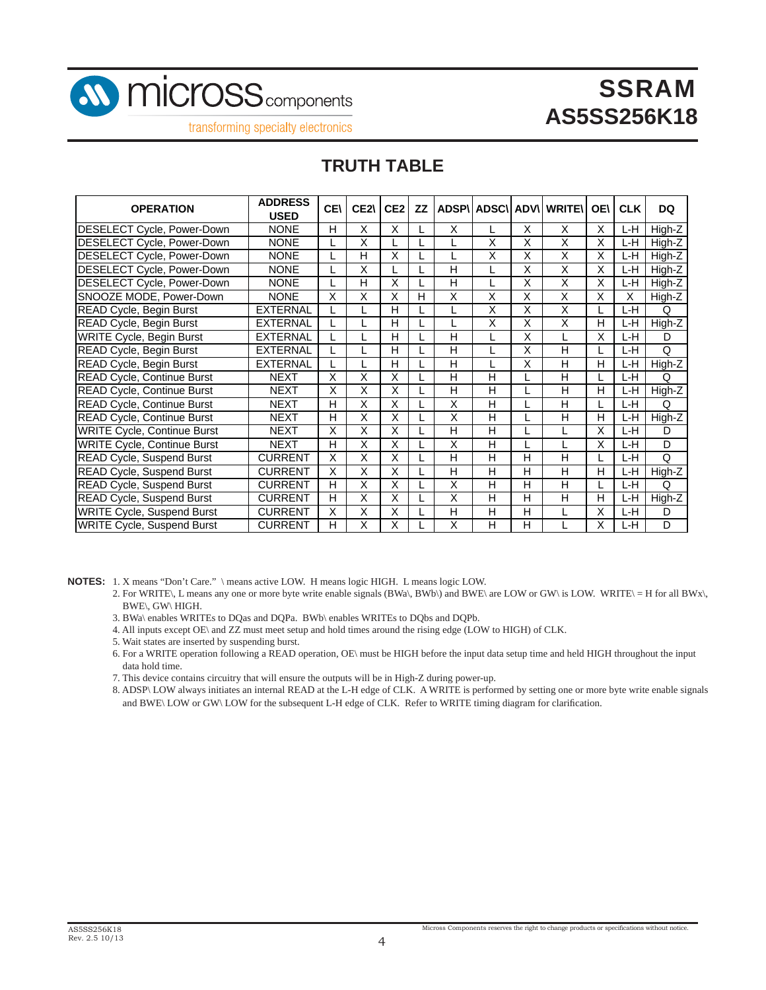

transforming specialty electronics

### **TRUTH TABLE**

| <b>OPERATION</b>                   | <b>ADDRESS</b>  | <b>CEN</b> | CE2 | CE <sub>2</sub> | <b>ZZ</b> |   |   |   | <b>ADSP\I ADSC\I ADV\I WRITE\</b> | <b>OE\</b> | <b>CLK</b> | <b>DQ</b> |
|------------------------------------|-----------------|------------|-----|-----------------|-----------|---|---|---|-----------------------------------|------------|------------|-----------|
|                                    | <b>USED</b>     |            |     |                 |           |   |   |   |                                   |            |            |           |
| DESELECT Cycle, Power-Down         | <b>NONE</b>     | н          | X   | Χ               |           | Χ |   | Χ | X                                 | X          | L-H        | High-Z    |
| DESELECT Cycle, Power-Down         | <b>NONE</b>     |            | X   |                 |           |   | X | X | Χ                                 | X          | L-H        | High-Z    |
| DESELECT Cycle, Power-Down         | <b>NONE</b>     |            | н   | X               |           |   | Χ | Χ | Χ                                 | X          | L-H        | High-Z    |
| DESELECT Cycle, Power-Down         | <b>NONE</b>     |            | Χ   |                 |           | Н |   | Χ | X                                 | X          | L-H.       | High-Z    |
| DESELECT Cycle, Power-Down         | <b>NONE</b>     |            | н   | X               |           | Н |   | Χ | X                                 | X          | L-H.       | High-Z    |
| SNOOZE MODE, Power-Down            | <b>NONE</b>     | X          | Χ   | X               | Н         | X | Χ | Χ | X                                 | X          | Χ          | High-Z    |
| READ Cycle, Begin Burst            | EXTERNAL        |            |     | н               |           |   | X | X | $\overline{\mathsf{x}}$           |            | L-H        | Q         |
| READ Cycle, Begin Burst            | <b>EXTERNAL</b> |            |     | н               |           |   | X | X | X                                 | н          | L-H        | High-Z    |
| <b>WRITE Cycle, Begin Burst</b>    | <b>EXTERNAL</b> |            |     | н               |           | н |   | X |                                   | Χ          | L-H        | D         |
| READ Cycle, Begin Burst            | <b>EXTERNAL</b> |            |     | н               |           | н |   | X | Н                                 |            | L-H        | Q         |
| <b>READ Cycle, Begin Burst</b>     | <b>EXTERNAL</b> |            |     | н               |           | Н |   | X | H                                 | H          | L-H        | High-Z    |
| READ Cycle, Continue Burst         | <b>NEXT</b>     | X          | X   | X               |           | Н | H |   | Н                                 |            | L-H        | Q         |
| READ Cycle, Continue Burst         | <b>NEXT</b>     | Χ          | X   | Χ               |           | H | H |   | H                                 | H          | L-H        | High-Z    |
| READ Cycle, Continue Burst         | <b>NEXT</b>     | Н          | X   | X               |           | X | H |   | H                                 |            | L-H        | Q         |
| <b>READ Cycle, Continue Burst</b>  | <b>NEXT</b>     | н          | X   | X               |           | X | Н |   | H                                 | н          | L-H        | High-Z    |
| <b>WRITE Cycle, Continue Burst</b> | <b>NEXT</b>     | Χ          | X   | Χ               |           | Н | н |   |                                   | X          | L-H        | D         |
| <b>WRITE Cycle, Continue Burst</b> | <b>NEXT</b>     | н          | X   | X               |           | X | н |   |                                   | X          | L-H        | D         |
| READ Cycle, Suspend Burst          | <b>CURRENT</b>  | Χ          | X   | Χ               |           | н | н | н | н                                 |            | L-H        | Q         |
| <b>READ Cycle, Suspend Burst</b>   | <b>CURRENT</b>  | Χ          | X   | X               |           | н | н | н | н                                 | н          | L-H        | High-Z    |
| <b>READ Cycle, Suspend Burst</b>   | <b>CURRENT</b>  | н          | X   | X               |           | X | н | н | н                                 |            | L-H        | Q         |
| <b>READ Cycle, Suspend Burst</b>   | <b>CURRENT</b>  | н          | X   | X               |           | X | н | н | н                                 | н          | L-H        | High-Z    |
| <b>WRITE Cycle, Suspend Burst</b>  | <b>CURRENT</b>  | X          | X   | X               |           | H | H | н |                                   | X          | L-H        | D         |
| <b>WRITE Cycle, Suspend Burst</b>  | <b>CURRENT</b>  | н          | X   | X               |           | X | н | н |                                   | х          | L-H        | D         |

**NOTES:** 1. X means "Don't Care." \ means active LOW. H means logic HIGH. L means logic LOW.

- 2. For WRITE\, L means any one or more byte write enable signals (BWa\, BWb\) and BWE\ are LOW or GW\ is LOW. WRITE\ = H for all BWx\,  $BWE\backslash$ ,  $GW\backslash$  HIGH.
- 3. BWa\ enables WRITEs to DQas and DQPa. BWb\ enables WRITEs to DQbs and DQPb.
- 4. All inputs except OE\ and ZZ must meet setup and hold times around the rising edge (LOW to HIGH) of CLK.
- 5. Wait states are inserted by suspending burst.
- 6. For a WRITE operation following a READ operation, OE\ must be HIGH before the input data setup time and held HIGH throughout the input data hold time.
- 7. This device contains circuitry that will ensure the outputs will be in High-Z during power-up.
- 8. ADSP\ LOW always initiates an internal READ at the L-H edge of CLK. A WRITE is performed by setting one or more byte write enable signals and BWE\ LOW or GW\ LOW for the subsequent L-H edge of CLK. Refer to WRITE timing diagram for clarification.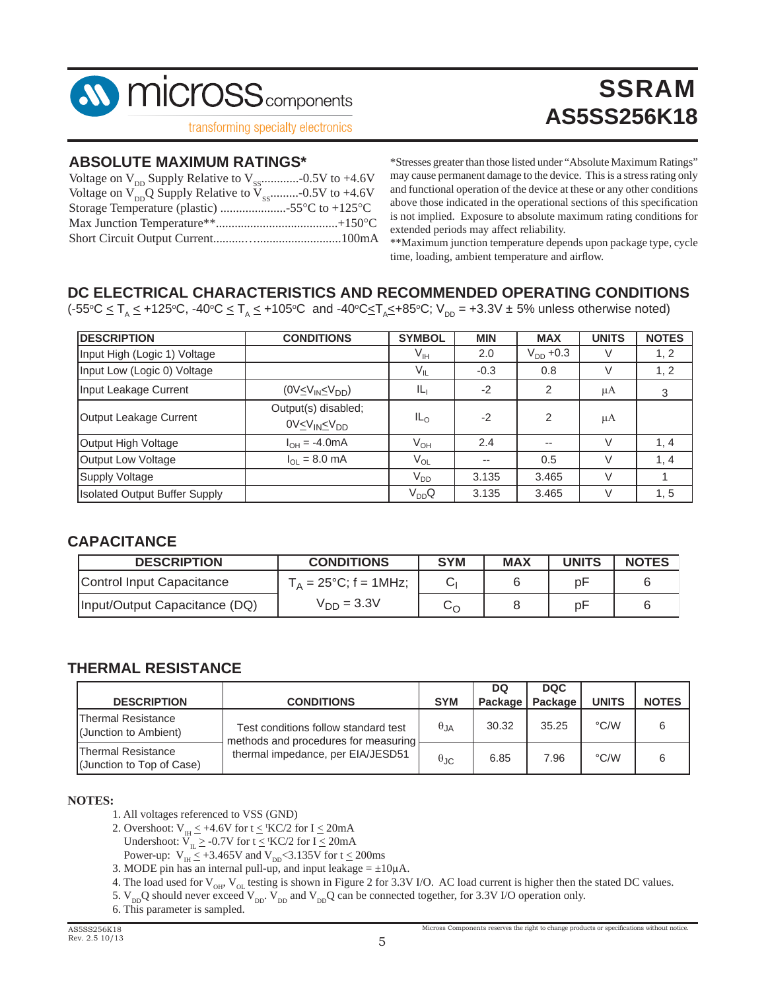

#### **ABSOLUTE MAXIMUM RATINGS\***

| Voltage on $V_{\text{nn}}Q$ Supply Relative to $V_{\text{ss}}$ -0.5V to +4.6V |  |
|-------------------------------------------------------------------------------|--|
| Storage Temperature (plastic) 55°C to +125°C                                  |  |
|                                                                               |  |
|                                                                               |  |

\*Stresses greater than those listed under "Absolute Maximum Ratings" may cause permanent damage to the device. This is a stress rating only and functional operation of the device at these or any other conditions above those indicated in the operational sections of this specification is not implied. Exposure to absolute maximum rating conditions for extended periods may affect reliability.

**SSRAM** 

**AS5SS256K18**

\*\*Maximum junction temperature depends upon package type, cycle time, loading, ambient temperature and airflow.

#### **DC ELECTRICAL CHARACTERISTICS AND RECOMMENDED OPERATING CONDITIONS**

(-55°C  $\leq$  T<sub>A</sub>  $\leq$  +125°C, -40°C  $\leq$  T<sub>A</sub>  $\leq$  +105°C and -40°C $\leq$ T<sub>A</sub> $\leq$ +85°C; V<sub>DD</sub> = +3.3V  $\pm$  5% unless otherwise noted)

| <b>DESCRIPTION</b>                   | <b>CONDITIONS</b>                                          | <b>SYMBOL</b>   | <b>MIN</b> | <b>MAX</b>     | <b>UNITS</b> | <b>NOTES</b> |
|--------------------------------------|------------------------------------------------------------|-----------------|------------|----------------|--------------|--------------|
| Input High (Logic 1) Voltage         |                                                            | V <sub>IH</sub> | 2.0        | $V_{DD} + 0.3$ | V            | 1, 2         |
| Input Low (Logic 0) Voltage          |                                                            | $V_{IL}$        | $-0.3$     | 0.8            | V            | 1, 2         |
| Input Leakage Current                | $(0 \vee \leq \vee_{IN} \leq \vee_{DD})$                   | IL <sub>I</sub> | $-2$       | 2              | μA           | 3            |
| Output Leakage Current               | Output(s) disabled;<br>0V≤V <sub>IN</sub> ≤V <sub>DD</sub> | $IL_{\Omega}$   | $-2$       | 2              | μA           |              |
| Output High Voltage                  | $I_{OH} = -4.0 \text{mA}$                                  | $V_{OH}$        | 2.4        | $-$            | V            | 1, 4         |
| Output Low Voltage                   | $I_{OL} = 8.0$ mA                                          | $V_{OL}$        |            | 0.5            | V            | 1, 4         |
| <b>Supply Voltage</b>                |                                                            | V <sub>DD</sub> | 3.135      | 3.465          |              |              |
| <b>Isolated Output Buffer Supply</b> |                                                            | $V_{DD}Q$       | 3.135      | 3.465          | V            | 1, 5         |

#### **CAPACITANCE**

| <b>DESCRIPTION</b>            | <b>CONDITIONS</b>               | <b>SYM</b> | <b>MAX</b> | <b>UNITS</b> | <b>NOTES</b> |
|-------------------------------|---------------------------------|------------|------------|--------------|--------------|
| Control Input Capacitance     | $T_A = 25^{\circ}C$ ; f = 1MHz; |            |            | рF           |              |
| Input/Output Capacitance (DQ) | $V_{DD} = 3.3V$                 | ∽ເ         |            | рF           |              |

#### **THERMAL RESISTANCE**

|                                                        |                                                                              |                        | DQ                | <b>DQC</b> |              |              |
|--------------------------------------------------------|------------------------------------------------------------------------------|------------------------|-------------------|------------|--------------|--------------|
| <b>DESCRIPTION</b>                                     | <b>CONDITIONS</b>                                                            | <b>SYM</b>             | Package   Package |            | <b>UNITS</b> | <b>NOTES</b> |
| <b>Thermal Resistance</b><br>(Junction to Ambient)     | Test conditions follow standard test<br>methods and procedures for measuring | $\theta_{JA}$          | 30.32             | 35.25      | °C/W         |              |
| <b>Thermal Resistance</b><br>(Junction to Top of Case) | thermal impedance, per EIA/JESD51                                            | $\theta_{\mathsf{JC}}$ | 6.85              | 7.96       | °C/W         |              |

#### **NOTES:**

- 1. All voltages referenced to VSS (GND)
- 2. Overshoot:  $V_{\text{H}} \leq +4.6V$  for  $t \leq$  'KC/2 for  $I \leq 20 \text{mA}$

Undershoot:  $V_{IL} \geq -0.7V$  for  $t \leq$  'KC/2 for  $I \leq 20mA$ 

- Power-up:  $V_{\text{H}} \leq +3.465V$  and  $V_{\text{DD}} < 3.135V$  for  $t \leq 200 \text{ms}$
- 3. MODE pin has an internal pull-up, and input leakage =  $\pm 10\mu$ A.
- 4. The load used for  $V_{OH}$ ,  $V_{OL}$  testing is shown in Figure 2 for 3.3V I/O. AC load current is higher then the stated DC values.

5.  $V_{DD}Q$  should never exceed  $V_{DD}$ .  $\overline{V}_{DD}$  and  $V_{DD}Q$  can be connected together, for 3.3V I/O operation only.

6. This parameter is sampled.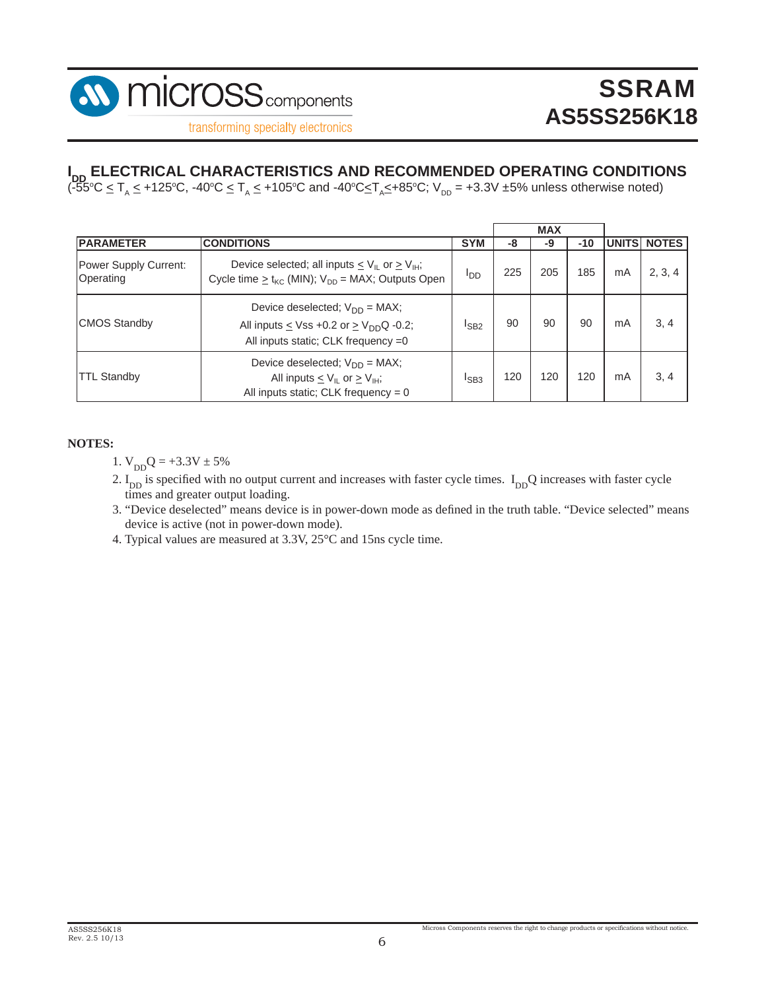

# $\blacksquare_{\mathsf{DD}}$  ELECTRICAL CHARACTERISTICS AND RECOMMENDED OPERATING CONDITIONS<br>(-55°C <u><</u> T<sub>A</sub> < +125°C, -40°C < T<sub>A</sub> < +105°C and -40°C≤T<sub>A</sub>≤+85°C; V<sub>DD</sub> = +3.3V ±5% unless otherwise noted)

|                                    |                                                                                                                                                         |                  |     | <b>MAX</b> |       |               |              |
|------------------------------------|---------------------------------------------------------------------------------------------------------------------------------------------------------|------------------|-----|------------|-------|---------------|--------------|
| <b>PARAMETER</b>                   | <b>CONDITIONS</b>                                                                                                                                       | <b>SYM</b>       | -8  | -9         | $-10$ | <b>UNITSI</b> | <b>NOTES</b> |
| Power Supply Current:<br>Operating | Device selected; all inputs $\leq$ V <sub>IL</sub> or $\geq$ V <sub>IH</sub> ;<br>Cycle time $\geq$ t <sub>kC</sub> (MIN); $V_{DD}$ = MAX; Outputs Open | <b>I</b> DD      | 225 | 205        | 185   | mA            | 2, 3, 4      |
| <b>CMOS Standby</b>                | Device deselected; $V_{DD} = MAX$ ;<br>All inputs $\leq$ Vss +0.2 or $\geq$ V <sub>DD</sub> Q -0.2;<br>All inputs static; CLK frequency =0              | $I_{SB2}$        | 90  | 90         | 90    | mA            | 3, 4         |
| <b>TTL Standby</b>                 | Device deselected; $V_{DD} = MAX$ ;<br>All inputs $\leq$ V <sub>IL</sub> or $\geq$ V <sub>IH</sub> ;<br>All inputs static; CLK frequency = $0$          | <sup>I</sup> SB3 | 120 | 120        | 120   | mA            | 3, 4         |

#### **NOTES:**

- 1.  $V_{DD}Q = +3.3V \pm 5%$
- 2.  $I_{DD}$  is specified with no output current and increases with faster cycle times.  $I_{DD}Q$  increases with faster cycle times and greater output loading.
- 3. "Device deselected" means device is in power-down mode as defined in the truth table. "Device selected" means device is active (not in power-down mode).
- 4. Typical values are measured at 3.3V, 25°C and 15ns cycle time.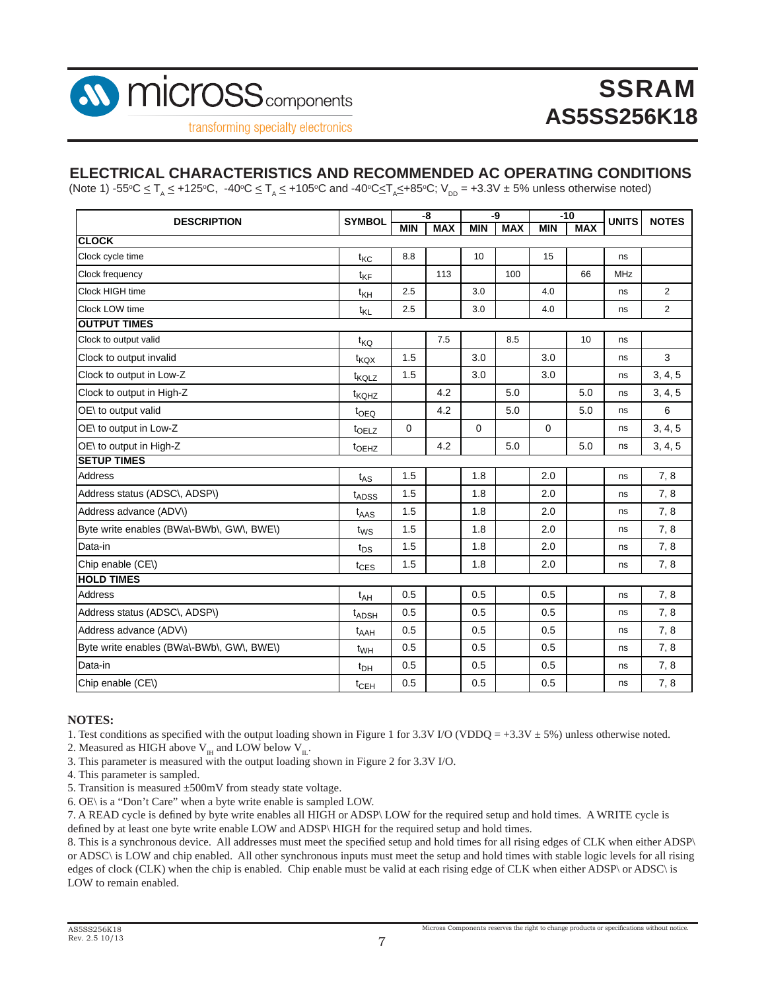

#### **ELECTRICAL CHARACTERISTICS AND RECOMMENDED AC OPERATING CONDITIONS**

(Note 1) -55°C  $\leq$  T<sub>A</sub>  $\leq$  +125°C, -40°C  $\leq$  T<sub>A</sub> $\leq$  +105°C and -40°C $\leq$ T<sub>A</sub> $\leq$ +85°C; V<sub>DD</sub> = +3.3V  $\pm$  5% unless otherwise noted)

| <b>DESCRIPTION</b>                        | <b>SYMBOL</b>     | -8          |            | -9          |            | $-10$       |            | <b>UNITS</b> | <b>NOTES</b>   |
|-------------------------------------------|-------------------|-------------|------------|-------------|------------|-------------|------------|--------------|----------------|
|                                           |                   | <b>MIN</b>  | <b>MAX</b> | <b>MIN</b>  | <b>MAX</b> | <b>MIN</b>  | <b>MAX</b> |              |                |
| <b>CLOCK</b>                              |                   |             |            |             |            |             |            |              |                |
| Clock cycle time                          | $t_{\text{KC}}$   | 8.8         |            | 10          |            | 15          |            | ns           |                |
| Clock frequency                           | $t_{\text{KF}}$   |             | 113        |             | 100        |             | 66         | <b>MHz</b>   |                |
| Clock HIGH time                           | $t_{\mathsf{KH}}$ | 2.5         |            | 3.0         |            | 4.0         |            | ns           | $\overline{2}$ |
| Clock LOW time                            | $t_{\mathsf{KL}}$ | 2.5         |            | 3.0         |            | 4.0         |            | ns           | $\overline{2}$ |
| <b>OUTPUT TIMES</b>                       |                   |             |            |             |            |             |            |              |                |
| Clock to output valid                     | t <sub>KQ</sub>   |             | 7.5        |             | 8.5        |             | 10         | ns           |                |
| Clock to output invalid                   | t <sub>KQX</sub>  | 1.5         |            | 3.0         |            | 3.0         |            | ns           | 3              |
| Clock to output in Low-Z                  | t <sub>KQLZ</sub> | 1.5         |            | 3.0         |            | 3.0         |            | ns           | 3, 4, 5        |
| Clock to output in High-Z                 | t <sub>KQHZ</sub> |             | 4.2        |             | 5.0        |             | 5.0        | ns           | 3, 4, 5        |
| OE\ to output valid                       | t <sub>OEQ</sub>  |             | 4.2        |             | 5.0        |             | 5.0        | ns           | 6              |
| OE\ to output in Low-Z                    | to <sub>ELZ</sub> | $\mathbf 0$ |            | $\mathbf 0$ |            | $\mathbf 0$ |            | ns           | 3, 4, 5        |
| OE\ to output in High-Z                   | t <sub>OEHZ</sub> |             | 4.2        |             | 5.0        |             | 5.0        | ns           | 3, 4, 5        |
| <b>SETUP TIMES</b>                        |                   |             |            |             |            |             |            |              |                |
| <b>Address</b>                            | $t_{AS}$          | 1.5         |            | 1.8         |            | 2.0         |            | ns           | 7,8            |
| Address status (ADSC\, ADSP\)             | t <sub>ADSS</sub> | 1.5         |            | 1.8         |            | 2.0         |            | ns           | 7,8            |
| Address advance (ADV\)                    | $t_{\text{AAS}}$  | 1.5         |            | 1.8         |            | 2.0         |            | ns           | 7, 8           |
| Byte write enables (BWa\-BWb\, GW\, BWE\) | $t_{WS}$          | 1.5         |            | 1.8         |            | 2.0         |            | ns           | 7,8            |
| Data-in                                   | t <sub>DS</sub>   | 1.5         |            | 1.8         |            | 2.0         |            | ns           | 7, 8           |
| Chip enable (CE\)                         | $t_{CES}$         | 1.5         |            | 1.8         |            | 2.0         |            | ns           | 7,8            |
| <b>HOLD TIMES</b>                         |                   |             |            |             |            |             |            |              |                |
| <b>Address</b>                            | $t_{AH}$          | 0.5         |            | 0.5         |            | 0.5         |            | ns           | 7,8            |
| Address status (ADSC\, ADSP\)             | t <sub>ADSH</sub> | 0.5         |            | 0.5         |            | 0.5         |            | ns           | 7,8            |
| Address advance (ADV\)                    | $t_{AAH}$         | 0.5         |            | 0.5         |            | 0.5         |            | ns           | 7,8            |
| Byte write enables (BWa\-BWb\, GW\, BWE\) | $t_{WH}$          | 0.5         |            | 0.5         |            | 0.5         |            | ns           | 7,8            |
| Data-in                                   | $t_{DH}$          | 0.5         |            | 0.5         |            | 0.5         |            | ns           | 7,8            |
| Chip enable (CE\)                         | t <sub>CEH</sub>  | 0.5         |            | 0.5         |            | 0.5         |            | ns           | 7,8            |

#### **NOTES:**

1. Test conditions as specified with the output loading shown in Figure 1 for 3.3V I/O (VDDQ = +3.3V  $\pm$  5%) unless otherwise noted.

2. Measured as HIGH above  $V_{\text{H}}$  and LOW below  $V_{\text{H}}$ .

3. This parameter is measured with the output loading shown in Figure 2 for 3.3V I/O.

4. This parameter is sampled.

5. Transition is measured ±500mV from steady state voltage.

6. OE\ is a "Don't Care" when a byte write enable is sampled LOW.

7. A READ cycle is defined by byte write enables all HIGH or ADSP\ LOW for the required setup and hold times. A WRITE cycle is defined by at least one byte write enable LOW and ADSP\ HIGH for the required setup and hold times.

8. This is a synchronous device. All addresses must meet the specified setup and hold times for all rising edges of CLK when either ADSP\ or ADSC\ is LOW and chip enabled. All other synchronous inputs must meet the setup and hold times with stable logic levels for all rising edges of clock (CLK) when the chip is enabled. Chip enable must be valid at each rising edge of CLK when either ADSP\ or ADSC\ is LOW to remain enabled.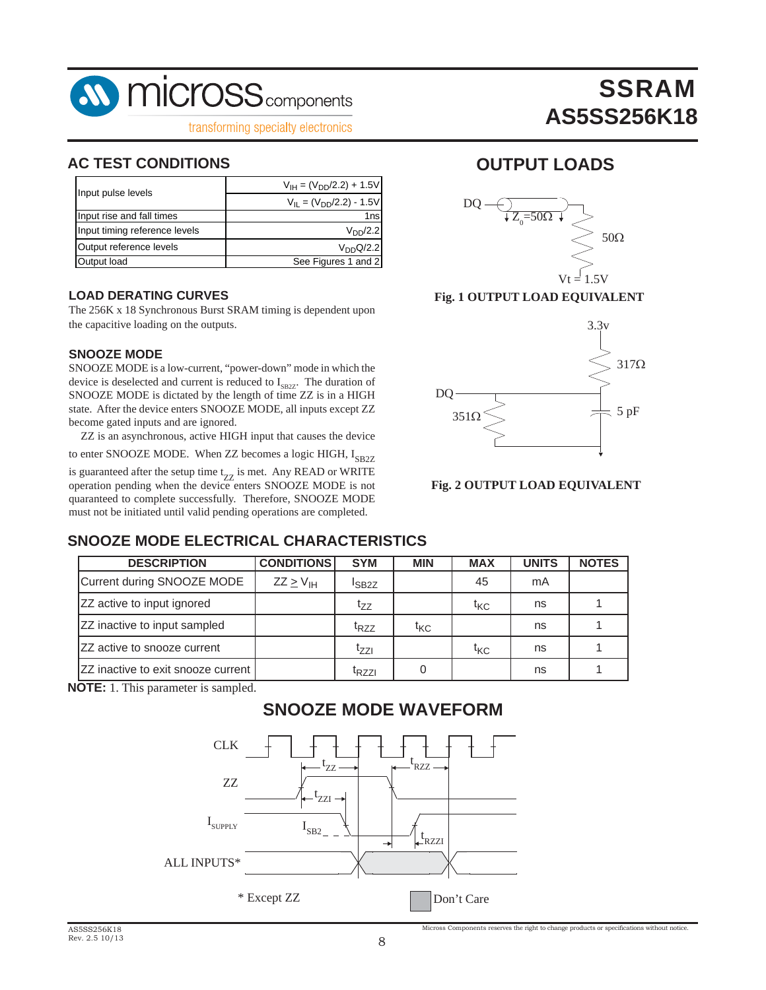

#### **AC TEST CONDITIONS OUTPUT LOADS**

| Input pulse levels            | $V_{\text{IH}} = (V_{\text{DD}}/2.2) + 1.5V$ |
|-------------------------------|----------------------------------------------|
|                               | $V_{II} = (V_{DD}/2.2) - 1.5V$               |
| Input rise and fall times     | 1ns                                          |
| Input timing reference levels | V <sub>DD</sub> /2.2                         |
| Output reference levels       | $V_{DD}Q/2.2$                                |
| Output load                   | See Figures 1 and 2                          |

#### **LOAD DERATING CURVES**

The 256K x 18 Synchronous Burst SRAM timing is dependent upon the capacitive loading on the outputs.

#### **SNOOZE MODE**

SNOOZE MODE is a low-current, "power-down" mode in which the device is deselected and current is reduced to  $I_{SPZ}$ . The duration of SNOOZE MODE is dictated by the length of time ZZ is in a HIGH state. After the device enters SNOOZE MODE, all inputs except ZZ become gated inputs and are ignored.

ZZ is an asynchronous, active HIGH input that causes the device

to enter SNOOZE MODE. When ZZ becomes a logic HIGH,  $I_{SP27}$ 

is guaranteed after the setup time  $t_{ZZ}$  is met. Any READ or WRITE operation pending when the device enters SNOOZE MODE is not quaranteed to complete successfully. Therefore, SNOOZE MODE must not be initiated until valid pending operations are completed.

**SSRAM** 

**AS5SS256K18**



**Fig. 1 OUTPUT LOAD EQUIVALENT**



#### **Fig. 2 OUTPUT LOAD EQUIVALENT**

### **SNOOZE MODE ELECTRICAL CHARACTERISTICS**

| <b>DESCRIPTION</b>                        | <b>CONDITIONS</b> | <b>SYM</b>        | <b>MIN</b> | <b>MAX</b> | <b>UNITS</b> | <b>NOTES</b> |
|-------------------------------------------|-------------------|-------------------|------------|------------|--------------|--------------|
| Current during SNOOZE MODE                | $ZZ \geq V_H$     | $I_{SB2Z}$        |            | 45         | mA           |              |
| ZZ active to input ignored                |                   | tzz               |            | tkc        | ns           |              |
| ZZ inactive to input sampled              |                   | <sup>t</sup> RZZ  | tkc        |            | ns           |              |
| ZZ active to snooze current               |                   | <sup>1</sup> 77Լ  |            | tkc        | ns           |              |
| <b>ZZ</b> inactive to exit snooze current |                   | <sup>T</sup> RZZI |            |            | ns           |              |

**NOTE:** 1. This parameter is sampled.

### **SNOOZE MODE WAVEFORM**

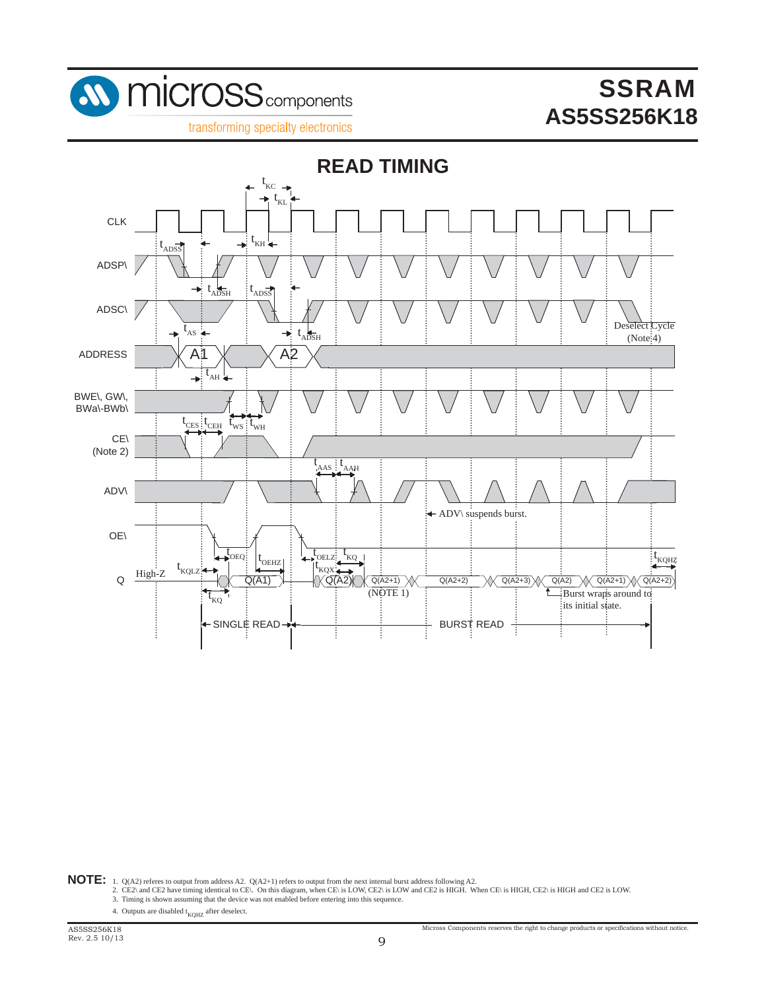

transforming specialty electronics



- **NOTE:** 1. Q(A2) referes to output from address A2. Q(A2+1) refers to output from the next internal burst address following A2.<br>2. CE2\ and CE2 have timing identical to CE\. On this diagram, when CE\ is LOW, CE2\ is LOW an
	-
	- 4. Outputs are disabled  $t_{KQHZ}$  after deselect.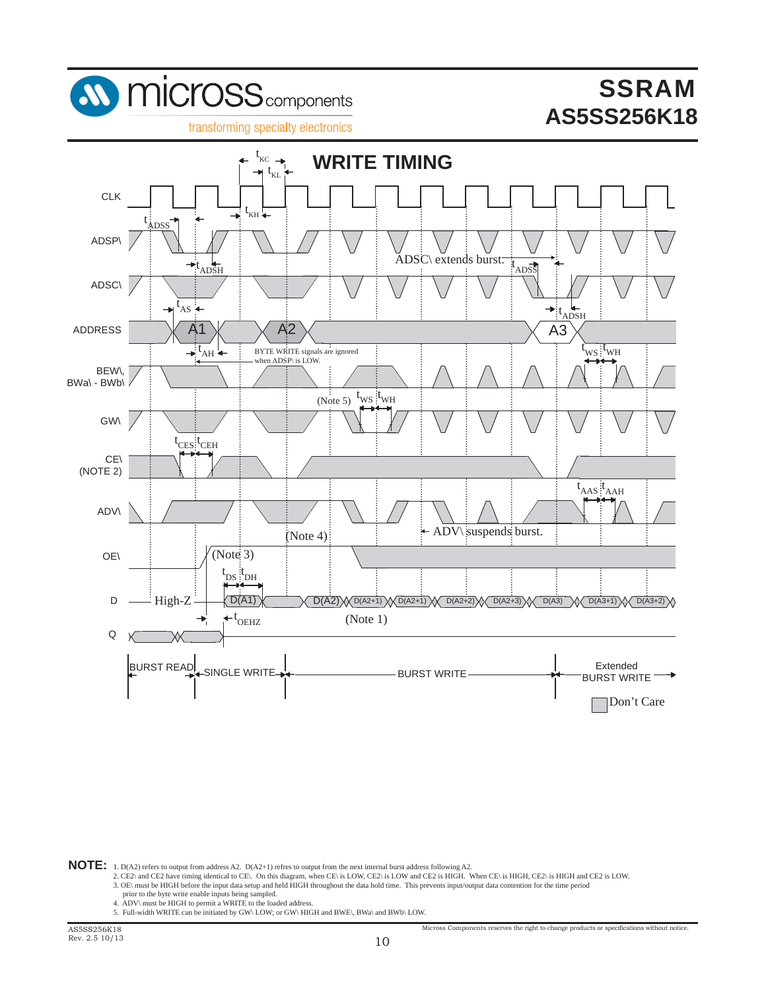

NOTE: 1. D(A2) refers to output from address A2. D(A2+1) refres to output from the next internal burst address following A2.<br>2. CE2\ and CE2 have timing identical to CE\. On this diagram, when CE\ is LOW, CE2\ is LOW and C

- $\sim$  2. OE\ must be HIGH before the input data setup and held HIGH throughout the data hold time. This prevents input/output data contention for the time period of the time period
	-
	- prior to the byte write enable inputs being sampled.<br>4. ADV\ must be HIGH to permit a WRITE to the loaded address.<br>5. Full-width WRITE can be initiated by GW\ LOW; or GW\ HIGH and BWE\, BWa\ and BWb\ LOW.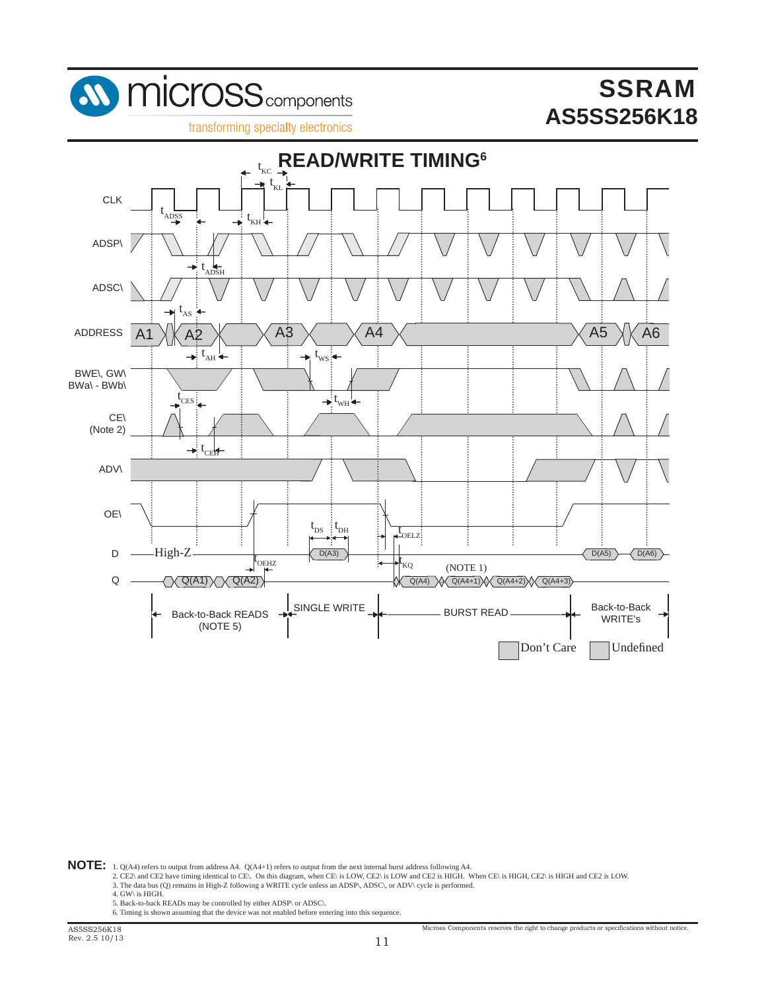





- **NOTE:** 1. Q(A4) refers to output from address A4. Q(A4+1) refers to output from the next internal burst address following A4.<br>2. CE2\ and CE2 have timing identical to CE\. On this diagram, when CE\ is LOW, CE2\ is LOW and 3. The data bus (Q) remains in High-Z following a WRITE cycle unless an ADSP\, ADSC\, or ADV\ cycle is performed.
	- 4. GW\ is HIGH.
	- 5. Back-to-back READs may be controlled by either ADSP\ or ADSC\.
	- 6. Timing is shown assuming that the device was not enabled before entering into this sequence.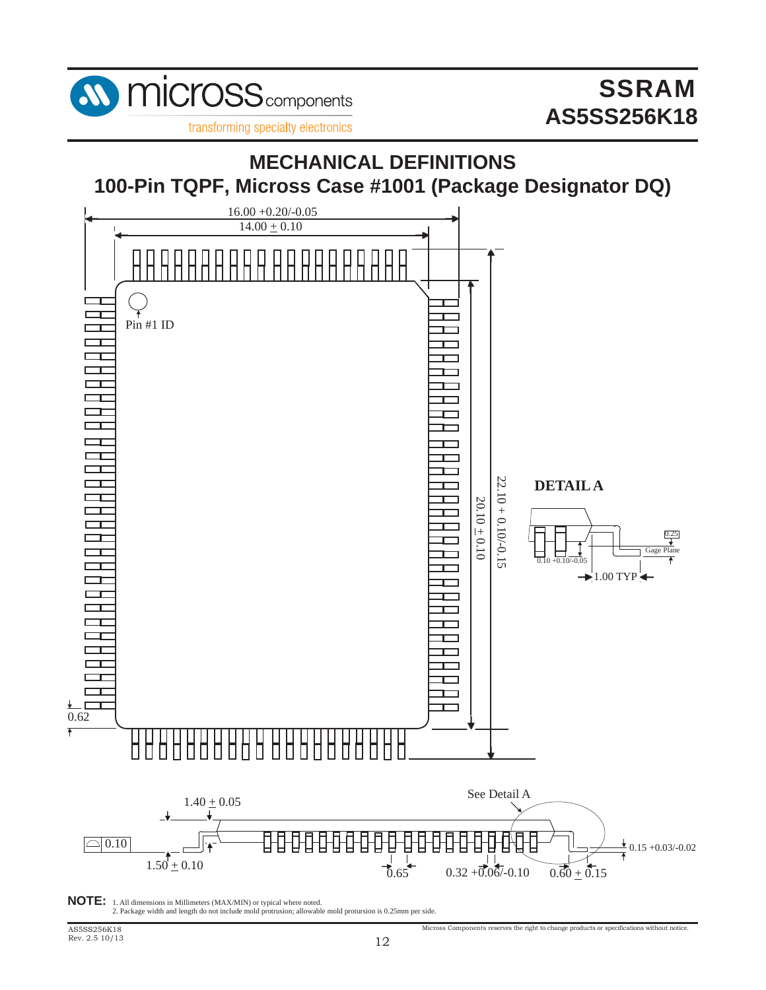

transforming specialty electronics



**NOTE:** 1. All dimensions in Millimeters (MAX/MIN) or typical where noted. 2. Package width and length do not include mold protrusion; allowable mold protursion is 0.25mm per side.

 $\rm{Microsoft}$  components reserves the right to change products or specifications without notice.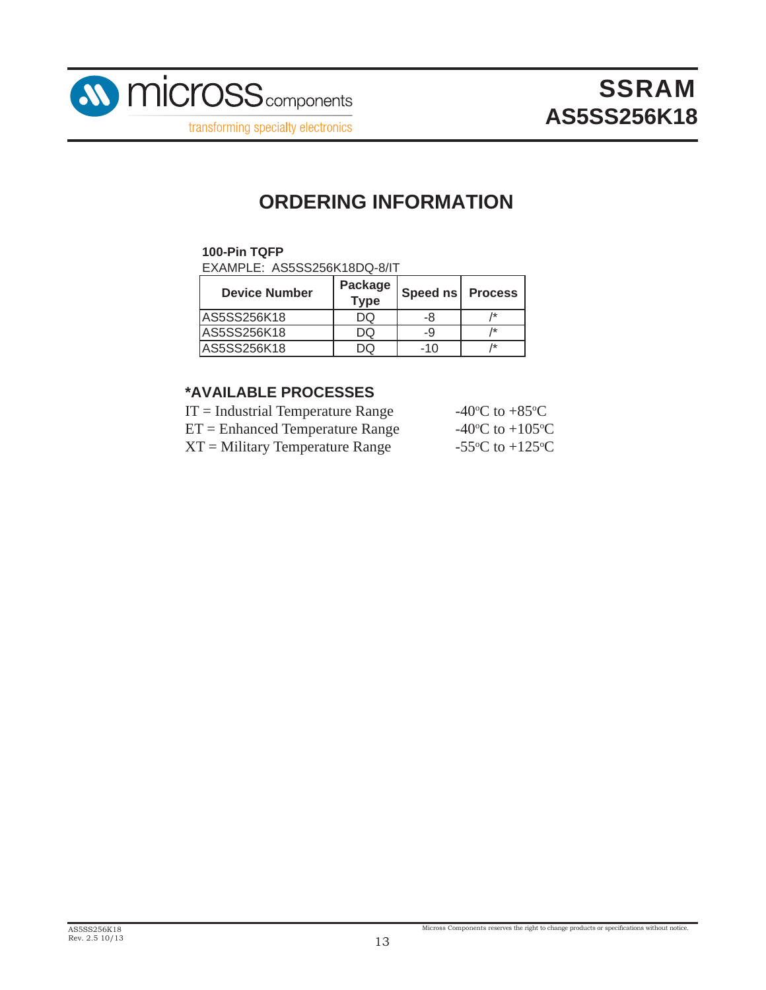

## **ORDERING INFORMATION**

#### **100-Pin TQFP**

EXAMPLE: AS5SS256K18DQ-8/IT

| <b>Device Number</b> | Package<br><b>Type</b> | Speed ns   Process |  |  |
|----------------------|------------------------|--------------------|--|--|
| AS5SS256K18          | DQ                     | -8                 |  |  |
| IAS5SS256K18         | DQ                     | -9                 |  |  |
| AS5SS256K18          |                        | $-10$              |  |  |

#### **\*AVAILABLE PROCESSES**

| $IT = Industrial Temperature Range$ | -40 <sup>o</sup> C to +85 <sup>o</sup> C      |
|-------------------------------------|-----------------------------------------------|
| $ET =$ Enhanced Temperature Range   | -40 <sup>o</sup> C to +105 <sup>o</sup> C     |
| $XT =$ Military Temperature Range   | -55 $\rm{^{\circ}C}$ to +125 $\rm{^{\circ}C}$ |